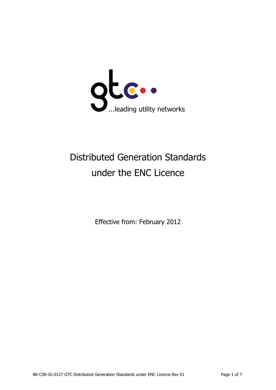

# Distributed Generation Standards under the ENC Licence

Effective from: February 2012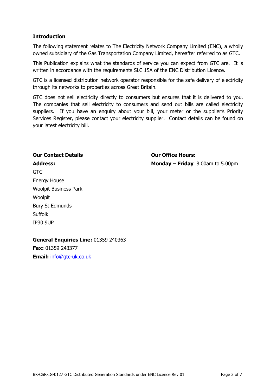## **Introduction**

The following statement relates to The Electricity Network Company Limited (ENC), a wholly owned subsidiary of the Gas Transportation Company Limited, hereafter referred to as GTC.

This Publication explains what the standards of service you can expect from GTC are. It is written in accordance with the requirements SLC 15A of the ENC Distribution Licence.

GTC is a licensed distribution network operator responsible for the safe delivery of electricity through its networks to properties across Great Britain.

GTC does not sell electricity directly to consumers but ensures that it is delivered to you. The companies that sell electricity to consumers and send out bills are called electricity suppliers. If you have an enquiry about your bill, your meter or the supplier's Priority Services Register, please contact your electricity supplier. Contact details can be found on your latest electricity bill.

## **Our Contact Details Our Office Hours:**

**Address: Monday – Friday** 8.00am to 5.00pm

GTC Energy House Woolpit Business Park Woolpit Bury St Edmunds Suffolk IP30 9UP

**General Enquiries Line:** 01359 240363

**Fax:** 01359 243377 **Email:** [info@gtc-uk.co.uk](mailto:info@gtc-uk.co.uk)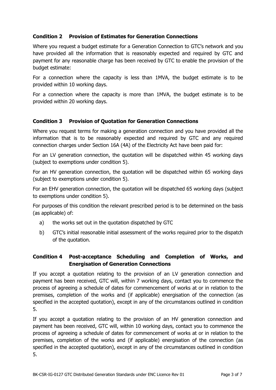## **Condition 2 Provision of Estimates for Generation Connections**

Where you request a budget estimate for a Generation Connection to GTC's network and you have provided all the information that is reasonably expected and required by GTC and payment for any reasonable charge has been received by GTC to enable the provision of the budget estimate:

For a connection where the capacity is less than 1MVA, the budget estimate is to be provided within 10 working days.

For a connection where the capacity is more than 1MVA, the budget estimate is to be provided within 20 working days.

#### **Condition 3 Provision of Quotation for Generation Connections**

Where you request terms for making a generation connection and you have provided all the information that is to be reasonably expected and required by GTC and any required connection charges under Section 16A (4A) of the Electricity Act have been paid for:

For an LV generation connection, the quotation will be dispatched within 45 working days (subject to exemptions under condition 5).

For an HV generation connection, the quotation will be dispatched within 65 working days (subject to exemptions under condition 5).

For an EHV generation connection, the quotation will be dispatched 65 working days (subject to exemptions under condition 5).

For purposes of this condition the relevant prescribed period is to be determined on the basis (as applicable) of:

- a) the works set out in the quotation dispatched by GTC
- b) GTC's initial reasonable initial assessment of the works required prior to the dispatch of the quotation.

## **Condition 4 Post-acceptance Scheduling and Completion of Works, and Energisation of Generation Connections**

If you accept a quotation relating to the provision of an LV generation connection and payment has been received, GTC will, within 7 working days, contact you to commence the process of agreeing a schedule of dates for commencement of works at or in relation to the premises, completion of the works and (if applicable) energisation of the connection (as specified in the accepted quotation), except in any of the circumstances outlined in condition 5.

If you accept a quotation relating to the provision of an HV generation connection and payment has been received, GTC will, within 10 working days, contact you to commence the process of agreeing a schedule of dates for commencement of works at or in relation to the premises, completion of the works and (if applicable) energisation of the connection (as specified in the accepted quotation), except in any of the circumstances outlined in condition 5.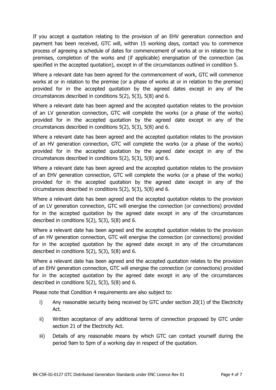If you accept a quotation relating to the provision of an EHV generation connection and payment has been received, GTC will, within 15 working days, contact you to commence process of agreeing a schedule of dates for commencement of works at or in relation to the premises, completion of the works and (if applicable) energisation of the connection (as specified in the accepted quotation), except in of the circumstances outlined in condition 5.

Where a relevant date has been agreed for the commencement of work, GTC will commence works at or in relation to the premise (or a phase of works at or in relation to the premise) provided for in the accepted quotation by the agreed dates except in any of the circumstances described in conditions 5(2), 5(3), 5(8) and 6.

Where a relevant date has been agreed and the accepted quotation relates to the provision of an LV generation connection, GTC will complete the works (or a phase of the works) provided for in the accepted quotation by the agreed date except in any of the circumstances described in conditions 5(2), 5(3), 5(8) and 6.

Where a relevant date has been agreed and the accepted quotation relates to the provision of an HV generation connection, GTC will complete the works (or a phase of the works) provided for in the accepted quotation by the agreed date except in any of the circumstances described in conditions 5(2), 5(3), 5(8) and 6.

Where a relevant date has been agreed and the accepted quotation relates to the provision of an EHV generation connection, GTC will complete the works (or a phase of the works) provided for in the accepted quotation by the agreed date except in any of the circumstances described in conditions 5(2), 5(3), 5(8) and 6.

Where a relevant date has been agreed and the accepted quotation relates to the provision of an LV generation connection, GTC will energise the connection (or connections) provided for in the accepted quotation by the agreed date except in any of the circumstances described in conditions 5(2), 5(3), 5(8) and 6.

Where a relevant date has been agreed and the accepted quotation relates to the provision of an HV generation connection, GTC will energise the connection (or connections) provided for in the accepted quotation by the agreed date except in any of the circumstances described in conditions 5(2), 5(3), 5(8) and 6.

Where a relevant date has been agreed and the accepted quotation relates to the provision of an EHV generation connection, GTC will energise the connection (or connections) provided for in the accepted quotation by the agreed date except in any of the circumstances described in conditions 5(2), 5(3), 5(8) and 6.

Please note that Condition 4 requirements are also subject to:

- i) Any reasonable security being received by GTC under section 20(1) of the Electricity Act.
- ii) Written acceptance of any additional terms of connection proposed by GTC under section 21 of the Electricity Act.
- iii) Details of any reasonable means by which GTC can contact yourself during the period 9am to 5pm of a working day in respect of the quotation.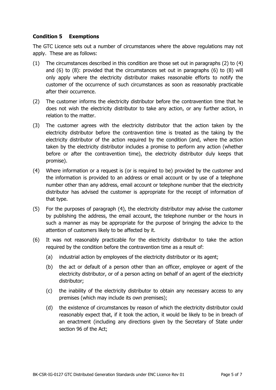## **Condition 5 Exemptions**

The GTC Licence sets out a number of circumstances where the above regulations may not apply. These are as follows:

- (1) The circumstances described in this condition are those set out in paragraphs (2) to (4) and (6) to (8): provided that the circumstances set out in paragraphs (6) to (8) will only apply where the electricity distributor makes reasonable efforts to notify the customer of the occurrence of such circumstances as soon as reasonably practicable after their occurrence.
- (2) The customer informs the electricity distributor before the contravention time that he does not wish the electricity distributor to take any action, or any further action, in relation to the matter.
- (3) The customer agrees with the electricity distributor that the action taken by the electricity distributor before the contravention time is treated as the taking by the electricity distributor of the action required by the condition (and, where the action taken by the electricity distributor includes a promise to perform any action (whether before or after the contravention time), the electricity distributor duly keeps that promise).
- (4) Where information or a request is (or is required to be) provided by the customer and the information is provided to an address or email account or by use of a telephone number other than any address, email account or telephone number that the electricity distributor has advised the customer is appropriate for the receipt of information of that type.
- (5) For the purposes of paragraph (4), the electricity distributor may advise the customer by publishing the address, the email account, the telephone number or the hours in such a manner as may be appropriate for the purpose of bringing the advice to the attention of customers likely to be affected by it.
- (6) It was not reasonably practicable for the electricity distributor to take the action required by the condition before the contravention time as a result of:
	- (a) industrial action by employees of the electricity distributor or its agent;
	- (b) the act or default of a person other than an officer, employee or agent of the electricity distributor, or of a person acting on behalf of an agent of the electricity distributor;
	- (c) the inability of the electricity distributor to obtain any necessary access to any premises (which may include its own premises);
	- (d) the existence of circumstances by reason of which the electricity distributor could reasonably expect that, if it took the action, it would be likely to be in breach of an enactment (including any directions given by the Secretary of State under section 96 of the Act;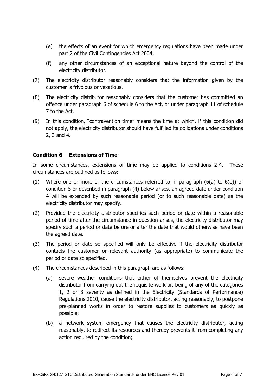- (e) the effects of an event for which emergency regulations have been made under part 2 of the Civil Contingencies Act 2004;
- (f) any other circumstances of an exceptional nature beyond the control of the electricity distributor.
- (7) The electricity distributor reasonably considers that the information given by the customer is frivolous or vexatious.
- (8) The electricity distributor reasonably considers that the customer has committed an offence under paragraph 6 of schedule 6 to the Act, or under paragraph 11 of schedule 7 to the Act.
- (9) In this condition, "contravention time" means the time at which, if this condition did not apply, the electricity distributor should have fulfilled its obligations under conditions 2, 3 and 4.

#### **Condition 6 Extensions of Time**

In some circumstances, extensions of time may be applied to conditions 2-4. These circumstances are outlined as follows;

- (1) Where one or more of the circumstances referred to in paragraph (6(a) to 6(e)) of condition 5 or described in paragraph (4) below arises, an agreed date under condition 4 will be extended by such reasonable period (or to such reasonable date) as the electricity distributor may specify.
- (2) Provided the electricity distributor specifies such period or date within a reasonable period of time after the circumstance in question arises, the electricity distributor may specify such a period or date before or after the date that would otherwise have been the agreed date.
- (3) The period or date so specified will only be effective if the electricity distributor contacts the customer or relevant authority (as appropriate) to communicate the period or date so specified.
- (4) The circumstances described in this paragraph are as follows:
	- (a) severe weather conditions that either of themselves prevent the electricity distributor from carrying out the requisite work or, being of any of the categories 1, 2 or 3 severity as defined in the Electricity (Standards of Performance) Regulations 2010, cause the electricity distributor, acting reasonably, to postpone pre-planned works in order to restore supplies to customers as quickly as possible;
	- (b) a network system emergency that causes the electricity distributor, acting reasonably, to redirect its resources and thereby prevents it from completing any action required by the condition;